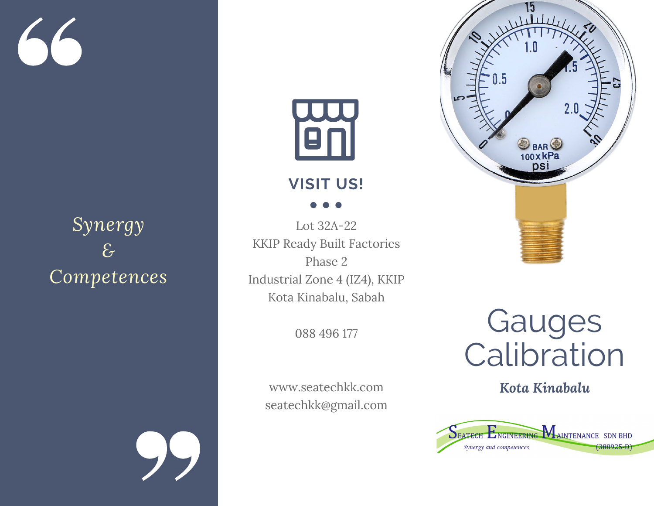

# *Synergy & Competences*



## **VISIT US!**

Lot 32A-22 KKIP Ready Built Factories Phase 2 Industrial Zone 4 (IZ4), KKIP Kota Kinabalu, Sabah

088 496 177

www.seatechkk.com seatechkk@gmail.com



Gauges **Calibration** 

*Kota Kinabalu*